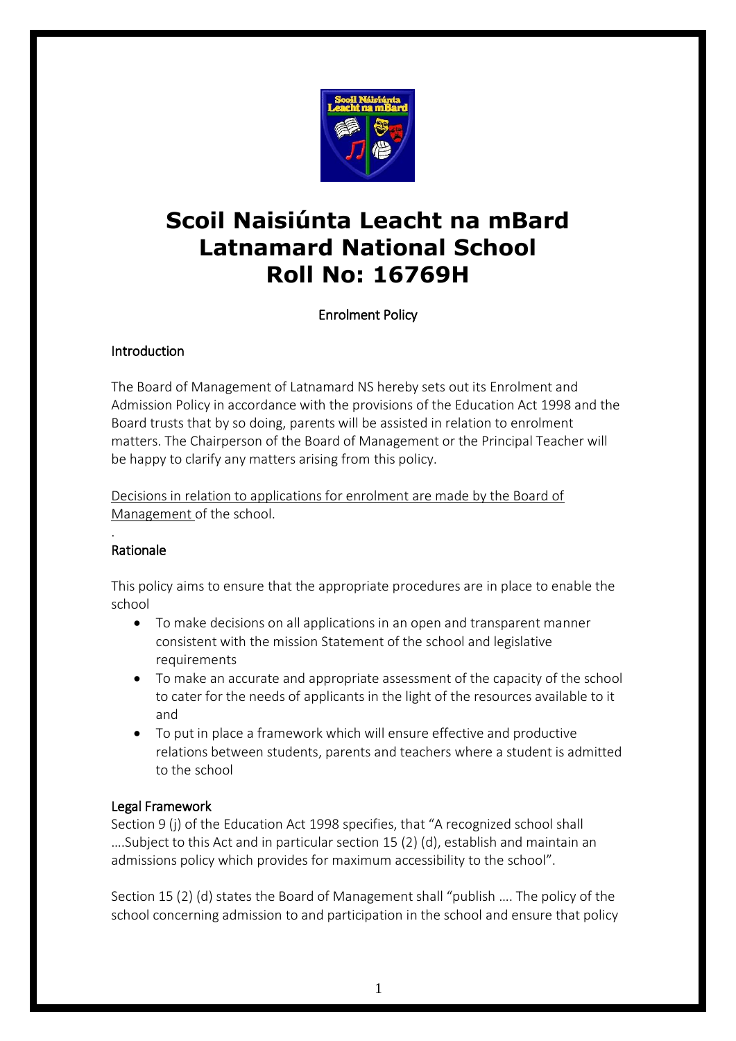

# **Scoil Naisiúnta Leacht na mBard Latnamard National School Roll No: 16769H**

# Enrolment Policy

# Introduction

The Board of Management of Latnamard NS hereby sets out its Enrolment and Admission Policy in accordance with the provisions of the Education Act 1998 and the Board trusts that by so doing, parents will be assisted in relation to enrolment matters. The Chairperson of the Board of Management or the Principal Teacher will be happy to clarify any matters arising from this policy.

Decisions in relation to applications for enrolment are made by the Board of Management of the school.

#### . Rationale

This policy aims to ensure that the appropriate procedures are in place to enable the school

- To make decisions on all applications in an open and transparent manner consistent with the mission Statement of the school and legislative requirements
- To make an accurate and appropriate assessment of the capacity of the school to cater for the needs of applicants in the light of the resources available to it and
- To put in place a framework which will ensure effective and productive relations between students, parents and teachers where a student is admitted to the school

# Legal Framework

Section 9 (j) of the Education Act 1998 specifies, that "A recognized school shall ….Subject to this Act and in particular section 15 (2) (d), establish and maintain an admissions policy which provides for maximum accessibility to the school".

Section 15 (2) (d) states the Board of Management shall "publish …. The policy of the school concerning admission to and participation in the school and ensure that policy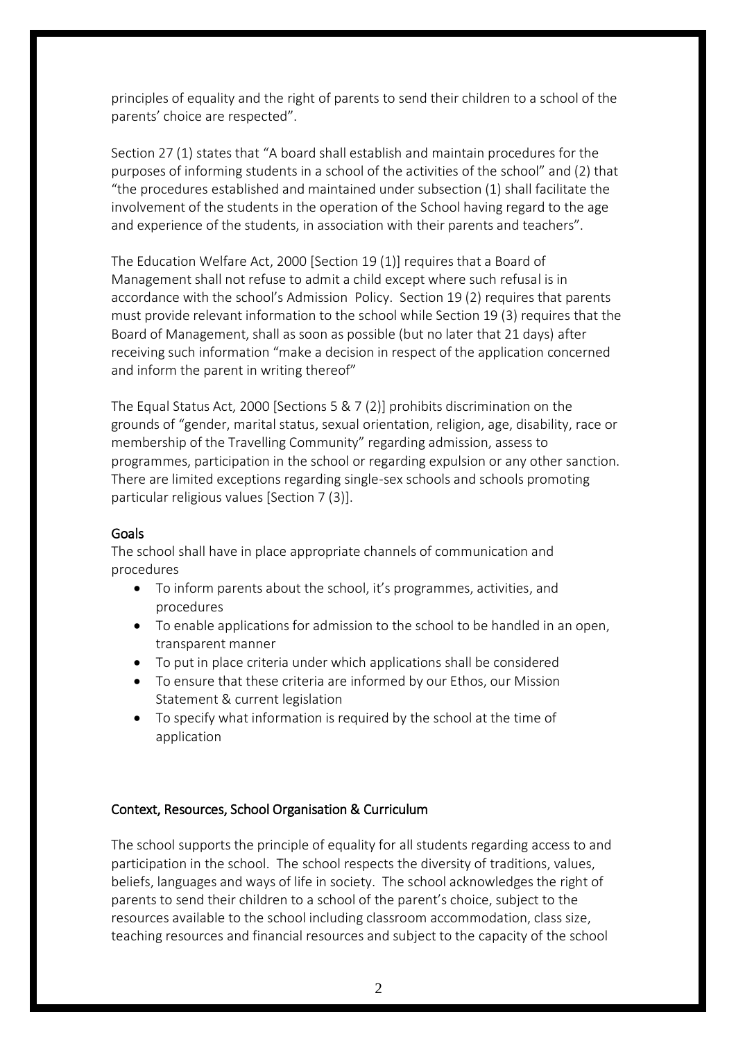principles of equality and the right of parents to send their children to a school of the parents' choice are respected".

Section 27 (1) states that "A board shall establish and maintain procedures for the purposes of informing students in a school of the activities of the school" and (2) that "the procedures established and maintained under subsection (1) shall facilitate the involvement of the students in the operation of the School having regard to the age and experience of the students, in association with their parents and teachers".

The Education Welfare Act, 2000 [Section 19 (1)] requires that a Board of Management shall not refuse to admit a child except where such refusal is in accordance with the school's Admission Policy. Section 19 (2) requires that parents must provide relevant information to the school while Section 19 (3) requires that the Board of Management, shall as soon as possible (but no later that 21 days) after receiving such information "make a decision in respect of the application concerned and inform the parent in writing thereof"

The Equal Status Act, 2000 [Sections 5 & 7 (2)] prohibits discrimination on the grounds of "gender, marital status, sexual orientation, religion, age, disability, race or membership of the Travelling Community" regarding admission, assess to programmes, participation in the school or regarding expulsion or any other sanction. There are limited exceptions regarding single-sex schools and schools promoting particular religious values [Section 7 (3)].

# Goals

The school shall have in place appropriate channels of communication and procedures

- To inform parents about the school, it's programmes, activities, and procedures
- To enable applications for admission to the school to be handled in an open, transparent manner
- To put in place criteria under which applications shall be considered
- To ensure that these criteria are informed by our Ethos, our Mission Statement & current legislation
- To specify what information is required by the school at the time of application

# Context, Resources, School Organisation & Curriculum

The school supports the principle of equality for all students regarding access to and participation in the school. The school respects the diversity of traditions, values, beliefs, languages and ways of life in society. The school acknowledges the right of parents to send their children to a school of the parent's choice, subject to the resources available to the school including classroom accommodation, class size, teaching resources and financial resources and subject to the capacity of the school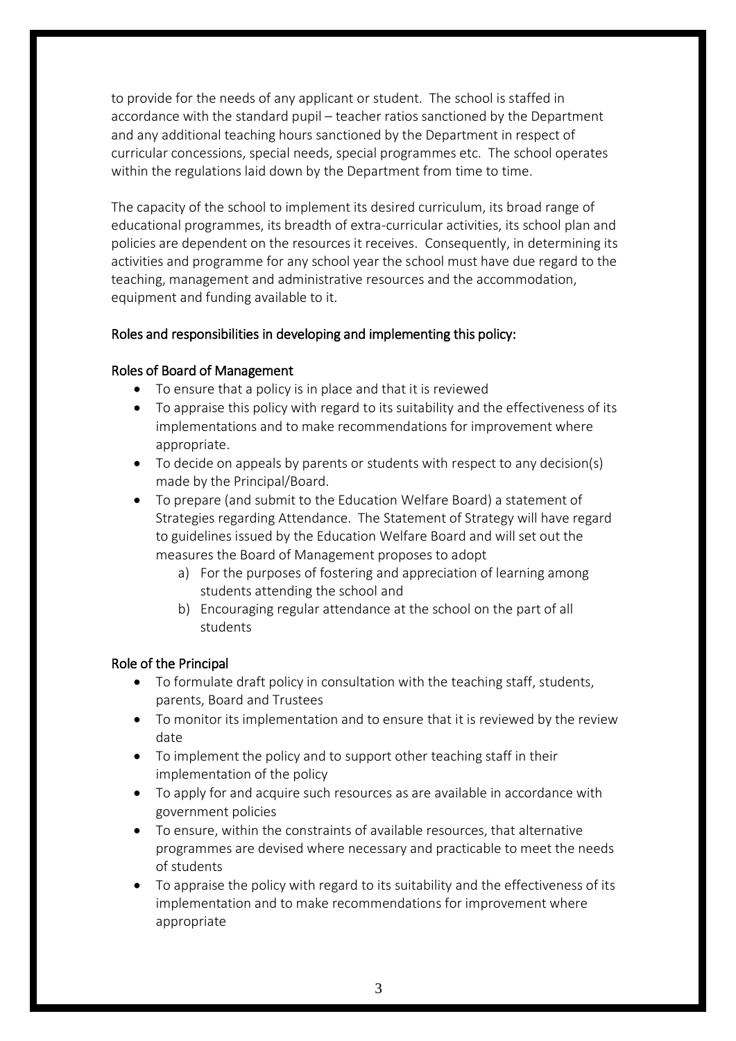to provide for the needs of any applicant or student. The school is staffed in accordance with the standard pupil – teacher ratios sanctioned by the Department and any additional teaching hours sanctioned by the Department in respect of curricular concessions, special needs, special programmes etc. The school operates within the regulations laid down by the Department from time to time.

The capacity of the school to implement its desired curriculum, its broad range of educational programmes, its breadth of extra-curricular activities, its school plan and policies are dependent on the resources it receives. Consequently, in determining its activities and programme for any school year the school must have due regard to the teaching, management and administrative resources and the accommodation, equipment and funding available to it.

#### Roles and responsibilities in developing and implementing this policy:

#### Roles of Board of Management

- To ensure that a policy is in place and that it is reviewed
- To appraise this policy with regard to its suitability and the effectiveness of its implementations and to make recommendations for improvement where appropriate.
- To decide on appeals by parents or students with respect to any decision(s) made by the Principal/Board.
- To prepare (and submit to the Education Welfare Board) a statement of Strategies regarding Attendance. The Statement of Strategy will have regard to guidelines issued by the Education Welfare Board and will set out the measures the Board of Management proposes to adopt
	- a) For the purposes of fostering and appreciation of learning among students attending the school and
	- b) Encouraging regular attendance at the school on the part of all students

#### Role of the Principal

- To formulate draft policy in consultation with the teaching staff, students, parents, Board and Trustees
- To monitor its implementation and to ensure that it is reviewed by the review date
- To implement the policy and to support other teaching staff in their implementation of the policy
- To apply for and acquire such resources as are available in accordance with government policies
- To ensure, within the constraints of available resources, that alternative programmes are devised where necessary and practicable to meet the needs of students
- To appraise the policy with regard to its suitability and the effectiveness of its implementation and to make recommendations for improvement where appropriate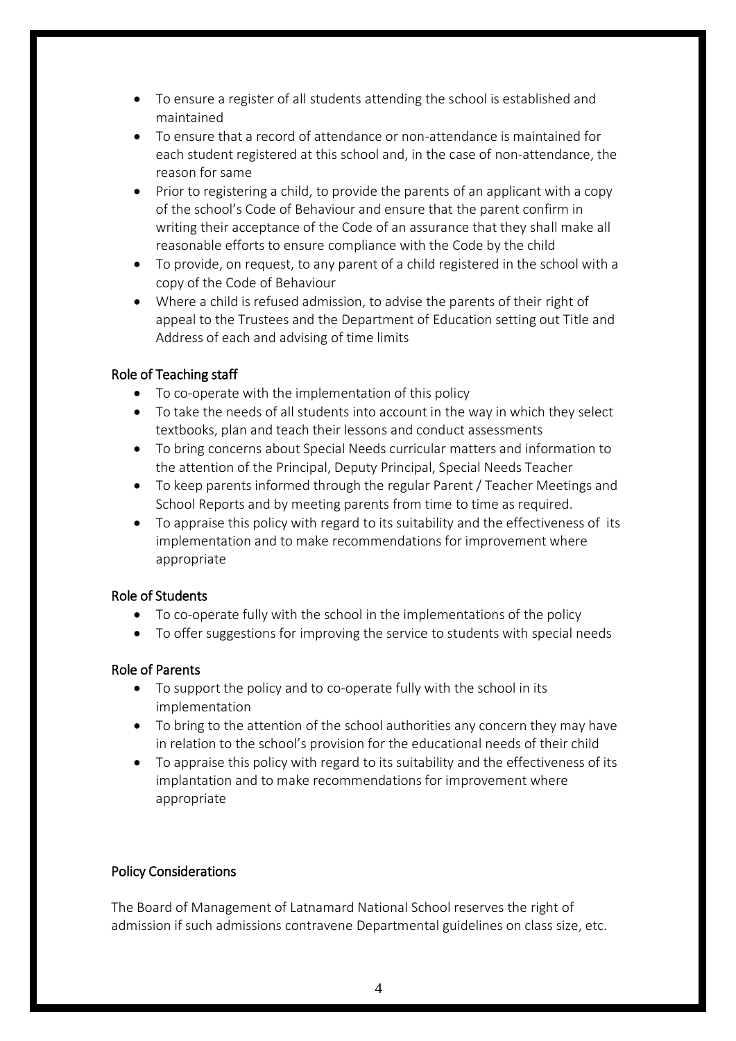- To ensure a register of all students attending the school is established and maintained
- To ensure that a record of attendance or non-attendance is maintained for each student registered at this school and, in the case of non-attendance, the reason for same
- Prior to registering a child, to provide the parents of an applicant with a copy of the school's Code of Behaviour and ensure that the parent confirm in writing their acceptance of the Code of an assurance that they shall make all reasonable efforts to ensure compliance with the Code by the child
- To provide, on request, to any parent of a child registered in the school with a copy of the Code of Behaviour
- Where a child is refused admission, to advise the parents of their right of appeal to the Trustees and the Department of Education setting out Title and Address of each and advising of time limits

# Role of Teaching staff

- To co-operate with the implementation of this policy
- To take the needs of all students into account in the way in which they select textbooks, plan and teach their lessons and conduct assessments
- To bring concerns about Special Needs curricular matters and information to the attention of the Principal, Deputy Principal, Special Needs Teacher
- To keep parents informed through the regular Parent / Teacher Meetings and School Reports and by meeting parents from time to time as required.
- To appraise this policy with regard to its suitability and the effectiveness of its implementation and to make recommendations for improvement where appropriate

# Role of Students

- To co-operate fully with the school in the implementations of the policy
- To offer suggestions for improving the service to students with special needs

# Role of Parents

- To support the policy and to co-operate fully with the school in its implementation
- To bring to the attention of the school authorities any concern they may have in relation to the school's provision for the educational needs of their child
- To appraise this policy with regard to its suitability and the effectiveness of its implantation and to make recommendations for improvement where appropriate

# Policy Considerations

The Board of Management of Latnamard National School reserves the right of admission if such admissions contravene Departmental guidelines on class size, etc.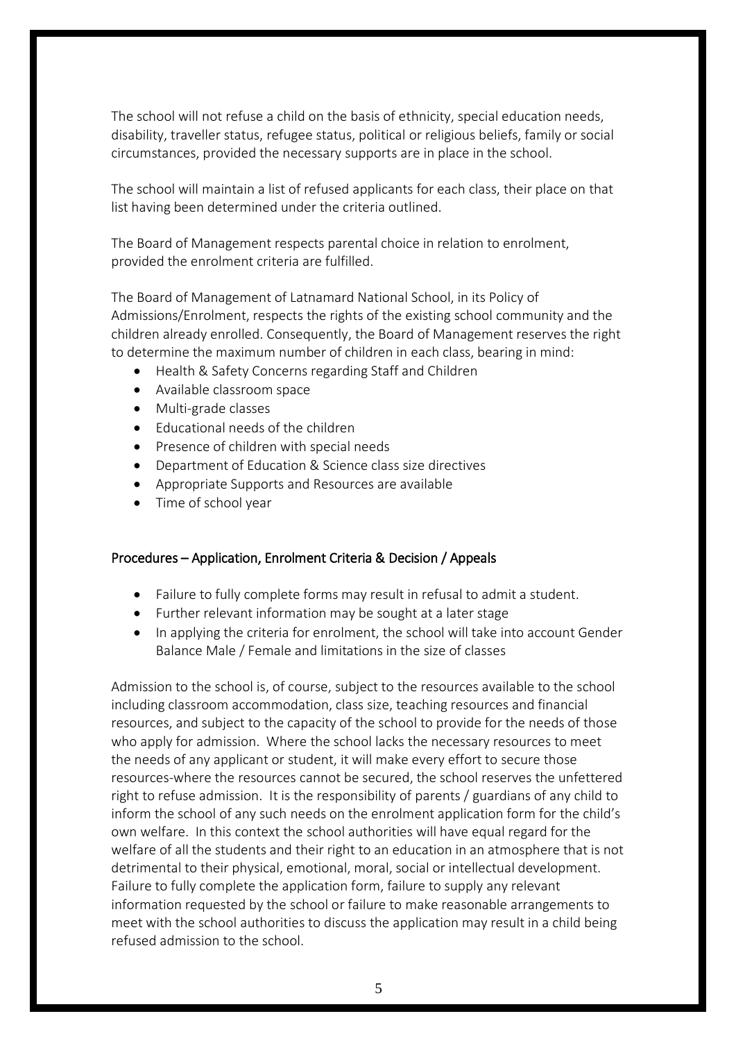The school will not refuse a child on the basis of ethnicity, special education needs, disability, traveller status, refugee status, political or religious beliefs, family or social circumstances, provided the necessary supports are in place in the school.

The school will maintain a list of refused applicants for each class, their place on that list having been determined under the criteria outlined.

The Board of Management respects parental choice in relation to enrolment, provided the enrolment criteria are fulfilled.

The Board of Management of Latnamard National School, in its Policy of Admissions/Enrolment, respects the rights of the existing school community and the children already enrolled. Consequently, the Board of Management reserves the right to determine the maximum number of children in each class, bearing in mind:

- Health & Safety Concerns regarding Staff and Children
- Available classroom space
- Multi-grade classes
- Educational needs of the children
- Presence of children with special needs
- Department of Education & Science class size directives
- Appropriate Supports and Resources are available
- Time of school year

#### Procedures – Application, Enrolment Criteria & Decision / Appeals

- Failure to fully complete forms may result in refusal to admit a student.
- Further relevant information may be sought at a later stage
- In applying the criteria for enrolment, the school will take into account Gender Balance Male / Female and limitations in the size of classes

Admission to the school is, of course, subject to the resources available to the school including classroom accommodation, class size, teaching resources and financial resources, and subject to the capacity of the school to provide for the needs of those who apply for admission. Where the school lacks the necessary resources to meet the needs of any applicant or student, it will make every effort to secure those resources-where the resources cannot be secured, the school reserves the unfettered right to refuse admission. It is the responsibility of parents / guardians of any child to inform the school of any such needs on the enrolment application form for the child's own welfare. In this context the school authorities will have equal regard for the welfare of all the students and their right to an education in an atmosphere that is not detrimental to their physical, emotional, moral, social or intellectual development. Failure to fully complete the application form, failure to supply any relevant information requested by the school or failure to make reasonable arrangements to meet with the school authorities to discuss the application may result in a child being refused admission to the school.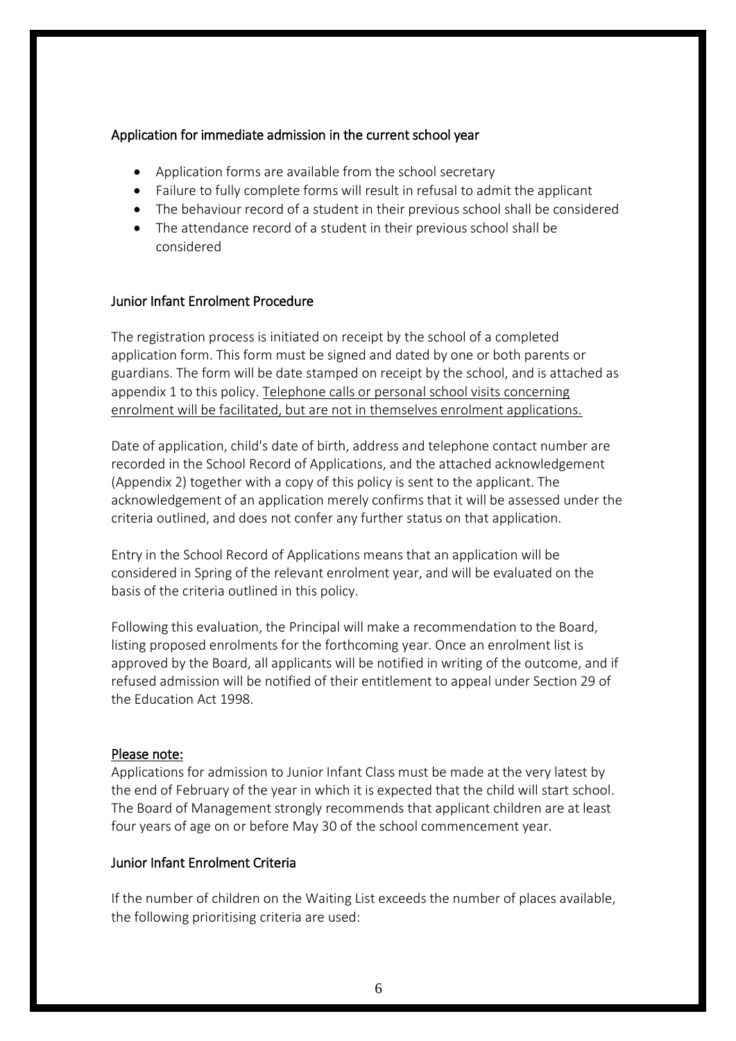#### Application for immediate admission in the current school year

- Application forms are available from the school secretary
- Failure to fully complete forms will result in refusal to admit the applicant
- The behaviour record of a student in their previous school shall be considered
- The attendance record of a student in their previous school shall be considered

#### Junior Infant Enrolment Procedure

The registration process is initiated on receipt by the school of a completed application form. This form must be signed and dated by one or both parents or guardians. The form will be date stamped on receipt by the school, and is attached as appendix 1 to this policy. Telephone calls or personal school visits concerning enrolment will be facilitated, but are not in themselves enrolment applications.

Date of application, child's date of birth, address and telephone contact number are recorded in the School Record of Applications, and the attached acknowledgement (Appendix 2) together with a copy of this policy is sent to the applicant. The acknowledgement of an application merely confirms that it will be assessed under the criteria outlined, and does not confer any further status on that application.

Entry in the School Record of Applications means that an application will be considered in Spring of the relevant enrolment year, and will be evaluated on the basis of the criteria outlined in this policy.

Following this evaluation, the Principal will make a recommendation to the Board, listing proposed enrolments for the forthcoming year. Once an enrolment list is approved by the Board, all applicants will be notified in writing of the outcome, and if refused admission will be notified of their entitlement to appeal under Section 29 of the Education Act 1998.

#### Please note:

Applications for admission to Junior Infant Class must be made at the very latest by the end of February of the year in which it is expected that the child will start school. The Board of Management strongly recommends that applicant children are at least four years of age on or before May 30 of the school commencement year.

# Junior Infant Enrolment Criteria

If the number of children on the Waiting List exceeds the number of places available, the following prioritising criteria are used: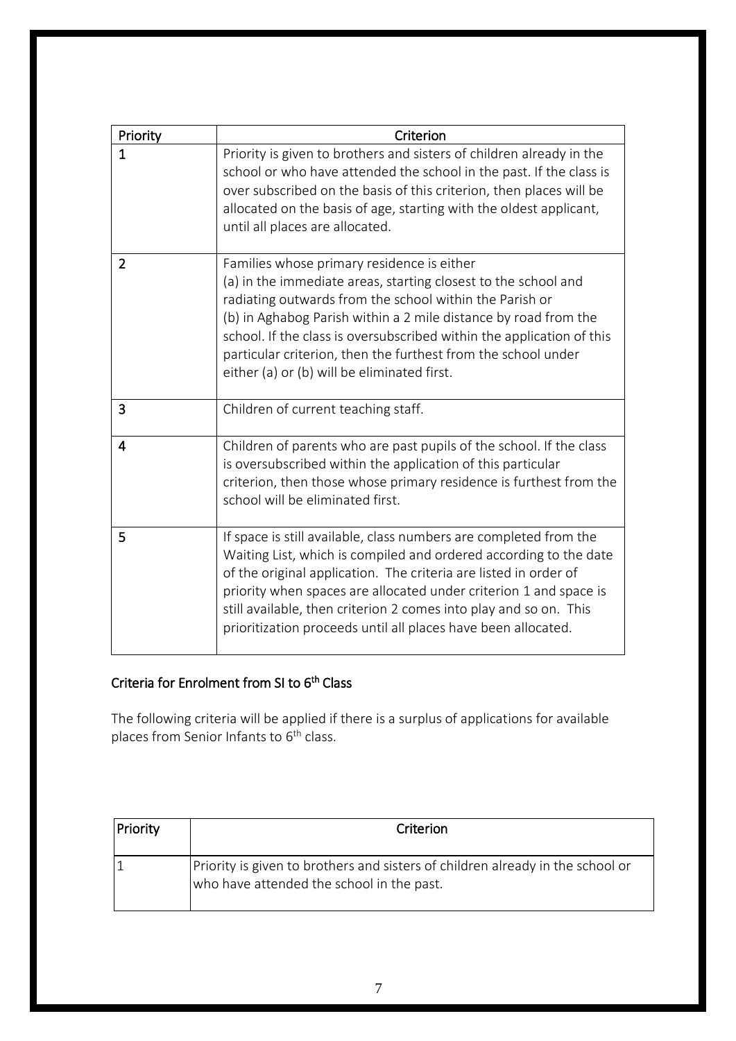| Priority       | Criterion                                                                                                                                                                                                                                                                                                                                                                                                                           |  |  |
|----------------|-------------------------------------------------------------------------------------------------------------------------------------------------------------------------------------------------------------------------------------------------------------------------------------------------------------------------------------------------------------------------------------------------------------------------------------|--|--|
| $\mathbf 1$    | Priority is given to brothers and sisters of children already in the<br>school or who have attended the school in the past. If the class is<br>over subscribed on the basis of this criterion, then places will be<br>allocated on the basis of age, starting with the oldest applicant,<br>until all places are allocated.                                                                                                         |  |  |
| $\overline{2}$ | Families whose primary residence is either<br>(a) in the immediate areas, starting closest to the school and<br>radiating outwards from the school within the Parish or<br>(b) in Aghabog Parish within a 2 mile distance by road from the<br>school. If the class is oversubscribed within the application of this<br>particular criterion, then the furthest from the school under<br>either (a) or (b) will be eliminated first. |  |  |
| 3              | Children of current teaching staff.                                                                                                                                                                                                                                                                                                                                                                                                 |  |  |
| 4              | Children of parents who are past pupils of the school. If the class<br>is oversubscribed within the application of this particular<br>criterion, then those whose primary residence is furthest from the<br>school will be eliminated first.                                                                                                                                                                                        |  |  |
| 5              | If space is still available, class numbers are completed from the<br>Waiting List, which is compiled and ordered according to the date<br>of the original application. The criteria are listed in order of<br>priority when spaces are allocated under criterion 1 and space is<br>still available, then criterion 2 comes into play and so on. This<br>prioritization proceeds until all places have been allocated.               |  |  |

# Criteria for Enrolment from SI to 6<sup>th</sup> Class

The following criteria will be applied if there is a surplus of applications for available places from Senior Infants to 6<sup>th</sup> class.

| Priority | Criterion                                                                                                                   |  |  |
|----------|-----------------------------------------------------------------------------------------------------------------------------|--|--|
|          | Priority is given to brothers and sisters of children already in the school or<br>who have attended the school in the past. |  |  |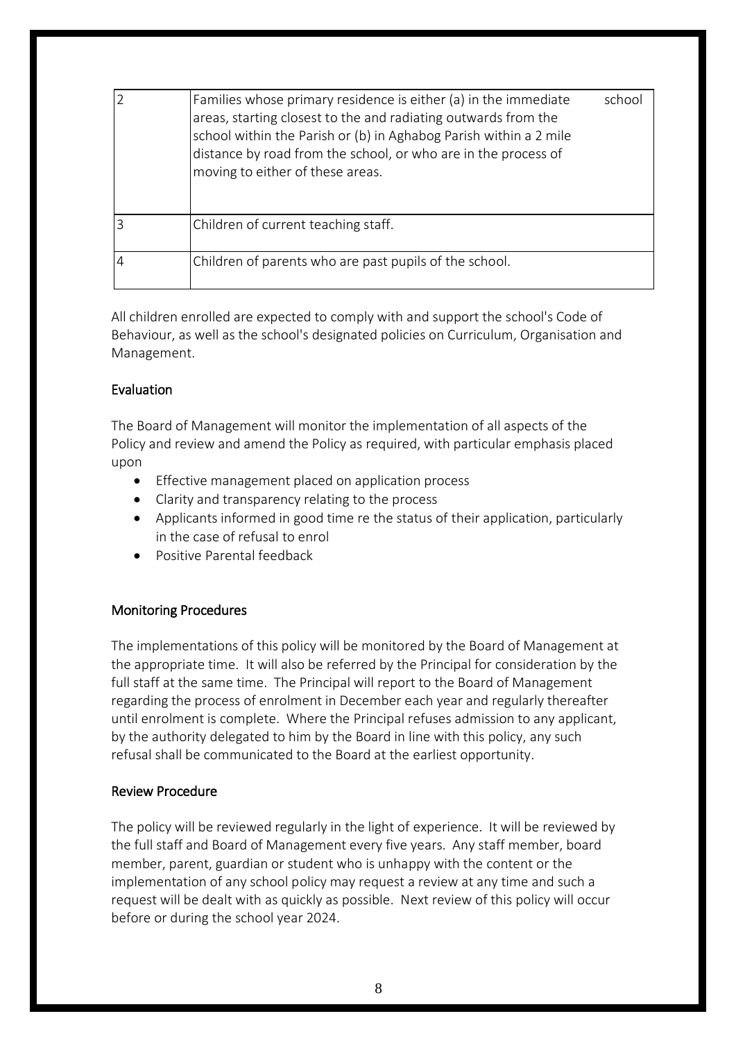| Families whose primary residence is either (a) in the immediate<br>areas, starting closest to the and radiating outwards from the<br>school within the Parish or (b) in Aghabog Parish within a 2 mile<br>distance by road from the school, or who are in the process of<br>moving to either of these areas. | school |
|--------------------------------------------------------------------------------------------------------------------------------------------------------------------------------------------------------------------------------------------------------------------------------------------------------------|--------|
| Children of current teaching staff.                                                                                                                                                                                                                                                                          |        |
| Children of parents who are past pupils of the school.                                                                                                                                                                                                                                                       |        |

All children enrolled are expected to comply with and support the school's Code of Behaviour, as well as the school's designated policies on Curriculum, Organisation and Management.

# Evaluation

The Board of Management will monitor the implementation of all aspects of the Policy and review and amend the Policy as required, with particular emphasis placed upon

- **•** Effective management placed on application process
- Clarity and transparency relating to the process
- Applicants informed in good time re the status of their application, particularly in the case of refusal to enrol
- Positive Parental feedback

#### Monitoring Procedures

The implementations of this policy will be monitored by the Board of Management at the appropriate time. It will also be referred by the Principal for consideration by the full staff at the same time. The Principal will report to the Board of Management regarding the process of enrolment in December each year and regularly thereafter until enrolment is complete. Where the Principal refuses admission to any applicant, by the authority delegated to him by the Board in line with this policy, any such refusal shall be communicated to the Board at the earliest opportunity.

#### Review Procedure

The policy will be reviewed regularly in the light of experience. It will be reviewed by the full staff and Board of Management every five years. Any staff member, board member, parent, guardian or student who is unhappy with the content or the implementation of any school policy may request a review at any time and such a request will be dealt with as quickly as possible. Next review of this policy will occur before or during the school year 2024.